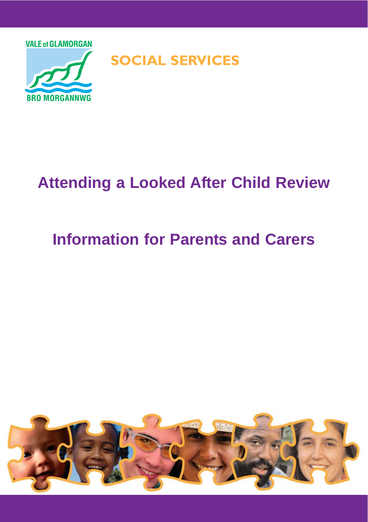

# **Attending a Looked After Child Review**

## **Information for Parents and Carers**

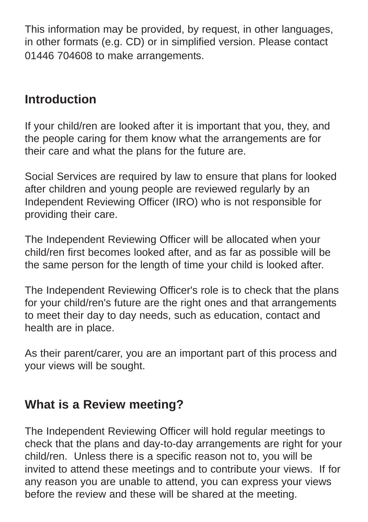This information may be provided, by request, in other languages, in other formats (e.g. CD) or in simplified version. Please contact 01446 704608 to make arrangements.

### **Introduction**

If your child/ren are looked after it is important that you, they, and the people caring for them know what the arrangements are for their care and what the plans for the future are.

Social Services are required by law to ensure that plans for looked after children and young people are reviewed regularly by an Independent Reviewing Officer (IRO) who is not responsible for providing their care.

The Independent Reviewing Officer will be allocated when your child/ren first becomes looked after, and as far as possible will be the same person for the length of time your child is looked after.

The Independent Reviewing Officer's role is to check that the plans for your child/ren's future are the right ones and that arrangements to meet their day to day needs, such as education, contact and health are in place.

As their parent/carer, you are an important part of this process and your views will be sought.

## **What is a Review meeting?**

The Independent Reviewing Officer will hold regular meetings to check that the plans and day-to-day arrangements are right for your child/ren. Unless there is a specific reason not to, you will be invited to attend these meetings and to contribute your views. If for any reason you are unable to attend, you can express your views before the review and these will be shared at the meeting.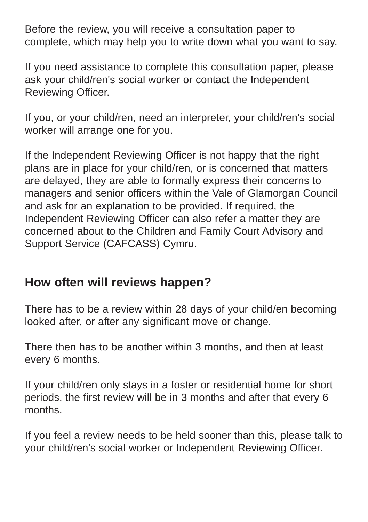Before the review, you will receive a consultation paper to complete, which may help you to write down what you want to say.

If you need assistance to complete this consultation paper, please ask your child/ren's social worker or contact the Independent Reviewing Officer.

If you, or your child/ren, need an interpreter, your child/ren's social worker will arrange one for you.

If the Independent Reviewing Officer is not happy that the right plans are in place for your child/ren, or is concerned that matters are delayed, they are able to formally express their concerns to managers and senior officers within the Vale of Glamorgan Council and ask for an explanation to be provided. If required, the Independent Reviewing Officer can also refer a matter they are concerned about to the Children and Family Court Advisory and Support Service (CAFCASS) Cymru.

### **How often will reviews happen?**

There has to be a review within 28 days of your child/en becoming looked after, or after any significant move or change.

There then has to be another within 3 months, and then at least every 6 months.

If your child/ren only stays in a foster or residential home for short periods, the first review will be in 3 months and after that every 6 months.

If you feel a review needs to be held sooner than this, please talk to your child/ren's social worker or Independent Reviewing Officer.